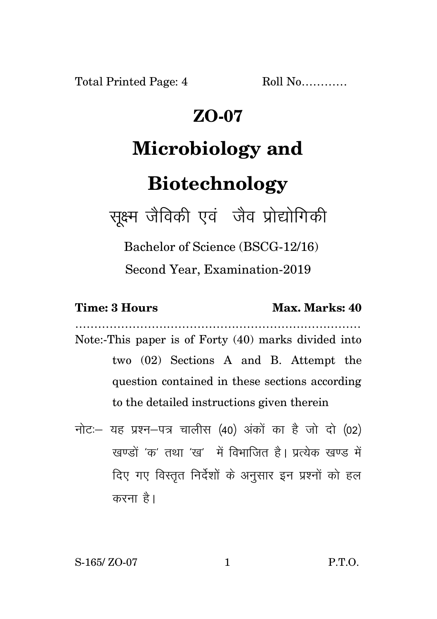Total Printed Page: 4 Roll No...........

### **ZO-07**

# **Microbiology and**

## **Biotechnology**

सूक्ष्म जैविकी एवं जैव प्रोद्योगिकी

Bachelor of Science (BSCG-12/16)

Second Year, Examination-2019

### **Time: 3 Hours Max. Marks: 40**

Note:-This paper is of Forty (40) marks divided into two (02) Sections A and B. Attempt the question contained in these sections according to the detailed instructions given therein

…………………………………………………………………

नोट: यह प्रश्न-पत्र चालीस (40) अंकों का है जो दो (02)  $\vec{y}$ रवण्डों 'क्व' तथा 'रव' में विभाजित है। पत्थेक रवण्ड में दिए गए विस्तृत निर्देशों के अनुसार इन प्रश्नों को हल करना है।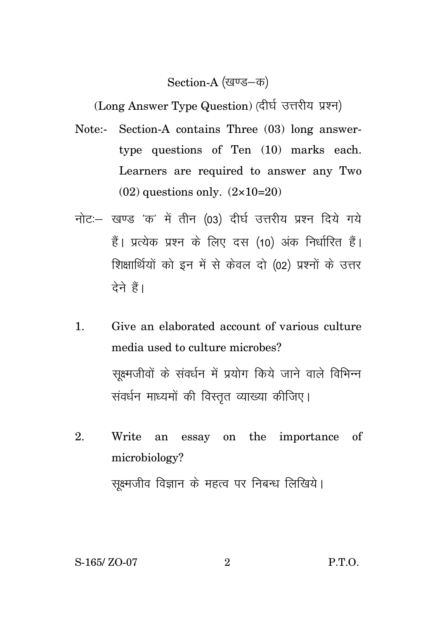#### Section-A (खण्ड–क)

(Long Answer Type Question) (दीर्घ उत्तरीय प्रश्न)

- Note:- Section-A contains Three (03) long answertype questions of Ten (10) marks each. Learners are required to answer any Two  $(02)$  questions only.  $(2 \times 10=20)$
- नोट: खण्ड 'क' में तीन (03) दीर्घ उत्तरीय प्रश्न दिये गये हैं। प्रत्येक प्रश्न के लिए दस (10) अंक निर्धारित हैं। शिक्षार्थियों को इन में से केवल दो (02) प्रश्नों के उत्तर टेने हैं।
- 1. Give an elaborated account of various culture media used to culture microbes? सूक्ष्मजीवों के संवर्धन में प्रयोग किये जाने वाले विभिन्न संवर्धन माध्यमों की विस्तुत व्याख्या कीजिए।
- 2. Write an essay on the importance of microbiology? सूक्ष्मजीव विज्ञान के महत्व पर निबन्ध लिखिये।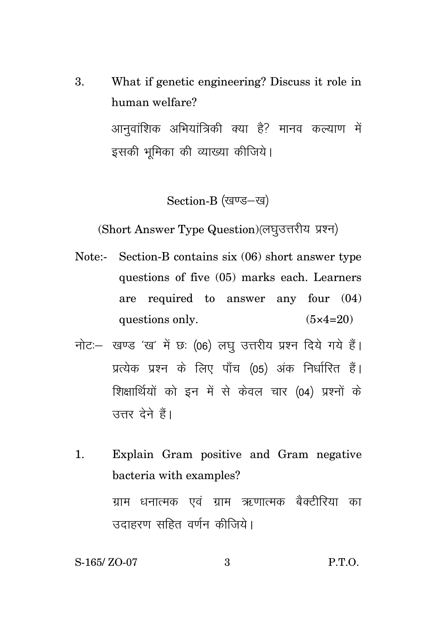3. What if genetic engineering? Discuss it role in human welfare? आनुवांशिक अभियांत्रिकी क्या है? मानव कल्याण में इसकी भूमिका की व्याख्या कीजिये।

Section-B (खण्ड-ख)

(Short Answer Type Question) (लघुउत्तरीय प्रश्न)

- Note:- Section-B contains six (06) short answer type questions of five (05) marks each. Learners are required to answer any four (04) questions only.  $(5 \times 4=20)$
- नोट: खण्ड 'ख' में छः (06) लघु उत्तरीय प्रश्न दिये गये हैं। प्रत्येक प्रश्न के लिए पाँच (05) अंक निर्धारित हैं। शिक्षार्थियों को इन में से केवल चार (04) प्रश्नों के उत्तर देने हैं।
- 1. Explain Gram positive and Gram negative bacteria with examples? ग्राम धनात्मक एवं ग्राम ऋणात्मक बैक्टीरिया का उदाहरण सहित वर्णन कीजिये।

S-165/ ZO-07 3 P.T.O.